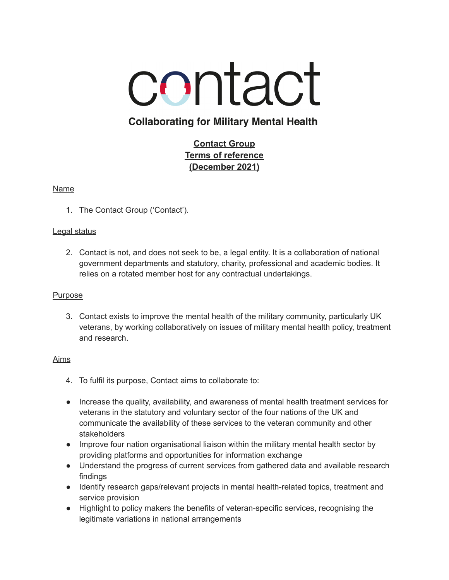

# **Collaborating for Military Mental Health**

## **Contact Group Terms of reference (December 2021)**

## Name

1. The Contact Group ('Contact').

## Legal status

2. Contact is not, and does not seek to be, a legal entity. It is a collaboration of national government departments and statutory, charity, professional and academic bodies. It relies on a rotated member host for any contractual undertakings.

## Purpose

3. Contact exists to improve the mental health of the military community, particularly UK veterans, by working collaboratively on issues of military mental health policy, treatment and research.

## Aims

- 4. To fulfil its purpose, Contact aims to collaborate to:
- Increase the quality, availability, and awareness of mental health treatment services for veterans in the statutory and voluntary sector of the four nations of the UK and communicate the availability of these services to the veteran community and other stakeholders
- Improve four nation organisational liaison within the military mental health sector by providing platforms and opportunities for information exchange
- Understand the progress of current services from gathered data and available research findings
- Identify research gaps/relevant projects in mental health-related topics, treatment and service provision
- Highlight to policy makers the benefits of veteran-specific services, recognising the legitimate variations in national arrangements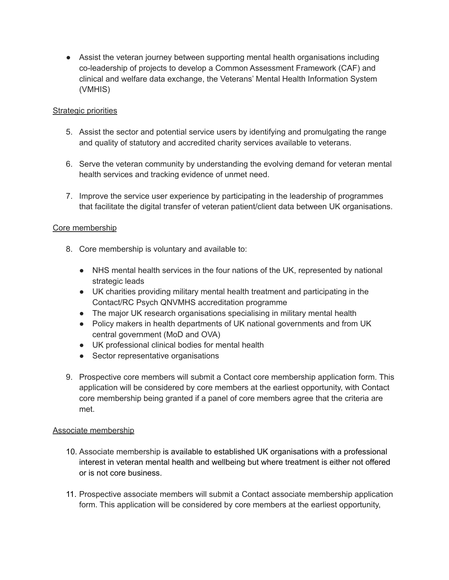• Assist the veteran journey between supporting mental health organisations including co-leadership of projects to develop a Common Assessment Framework (CAF) and clinical and welfare data exchange, the Veterans' Mental Health Information System (VMHIS)

## Strategic priorities

- 5. Assist the sector and potential service users by identifying and promulgating the range and quality of statutory and accredited charity services available to veterans.
- 6. Serve the veteran community by understanding the evolving demand for veteran mental health services and tracking evidence of unmet need.
- 7. Improve the service user experience by participating in the leadership of programmes that facilitate the digital transfer of veteran patient/client data between UK organisations.

## Core membership

- 8. Core membership is voluntary and available to:
	- NHS mental health services in the four nations of the UK, represented by national strategic leads
	- UK charities providing military mental health treatment and participating in the Contact/RC Psych QNVMHS accreditation programme
	- The major UK research organisations specialising in military mental health
	- Policy makers in health departments of UK national governments and from UK central government (MoD and OVA)
	- UK professional clinical bodies for mental health
	- Sector representative organisations
- 9. Prospective core members will submit a Contact core membership application form. This application will be considered by core members at the earliest opportunity, with Contact core membership being granted if a panel of core members agree that the criteria are met.

#### Associate membership

- 10. Associate membership is available to established UK organisations with a professional interest in veteran mental health and wellbeing but where treatment is either not offered or is not core business.
- 11. Prospective associate members will submit a Contact associate membership application form. This application will be considered by core members at the earliest opportunity,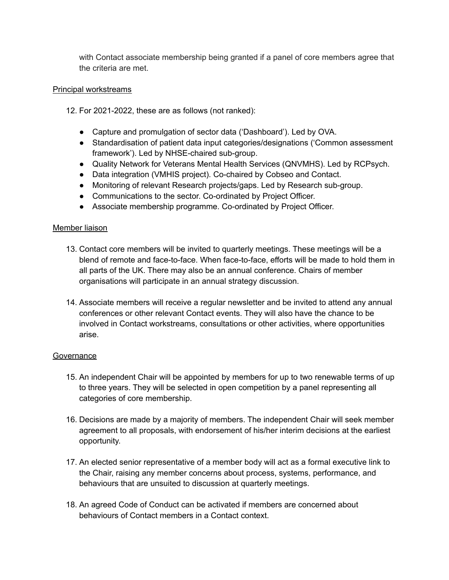with Contact associate membership being granted if a panel of core members agree that the criteria are met.

#### Principal workstreams

12. For 2021-2022, these are as follows (not ranked):

- Capture and promulgation of sector data ('Dashboard'). Led by OVA.
- Standardisation of patient data input categories/designations ('Common assessment framework'). Led by NHSE-chaired sub-group.
- Quality Network for Veterans Mental Health Services (QNVMHS). Led by RCPsych.
- Data integration (VMHIS project). Co-chaired by Cobseo and Contact.
- Monitoring of relevant Research projects/gaps. Led by Research sub-group.
- Communications to the sector. Co-ordinated by Project Officer.
- Associate membership programme. Co-ordinated by Project Officer.

#### Member liaison

- 13. Contact core members will be invited to quarterly meetings. These meetings will be a blend of remote and face-to-face. When face-to-face, efforts will be made to hold them in all parts of the UK. There may also be an annual conference. Chairs of member organisations will participate in an annual strategy discussion.
- 14. Associate members will receive a regular newsletter and be invited to attend any annual conferences or other relevant Contact events. They will also have the chance to be involved in Contact workstreams, consultations or other activities, where opportunities arise.

#### Governance

- 15. An independent Chair will be appointed by members for up to two renewable terms of up to three years. They will be selected in open competition by a panel representing all categories of core membership.
- 16. Decisions are made by a majority of members. The independent Chair will seek member agreement to all proposals, with endorsement of his/her interim decisions at the earliest opportunity.
- 17. An elected senior representative of a member body will act as a formal executive link to the Chair, raising any member concerns about process, systems, performance, and behaviours that are unsuited to discussion at quarterly meetings.
- 18. An agreed Code of Conduct can be activated if members are concerned about behaviours of Contact members in a Contact context.